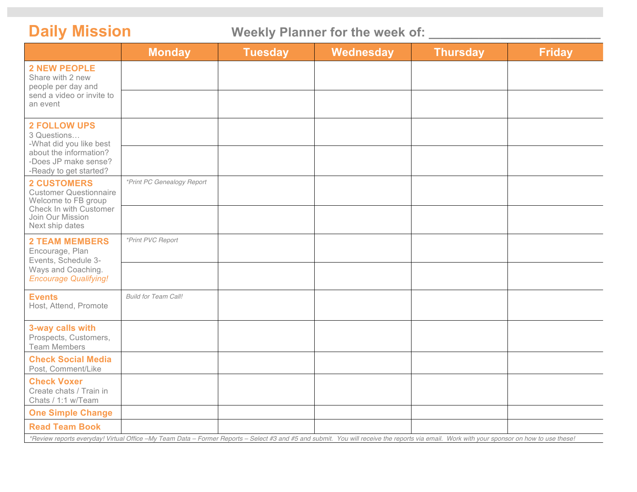Daily Mission **Weekly Planner for the week of:** \_\_\_\_\_\_\_\_\_\_\_\_\_\_\_\_\_\_\_\_\_\_\_\_\_\_\_\_\_\_\_\_\_

|                                                                                                                                                                                            | <b>Monday</b>               | <b>Tuesday</b> | Wednesday | <b>Thursday</b> | <b>Friday</b> |
|--------------------------------------------------------------------------------------------------------------------------------------------------------------------------------------------|-----------------------------|----------------|-----------|-----------------|---------------|
| <b>2 NEW PEOPLE</b><br>Share with 2 new<br>people per day and<br>send a video or invite to<br>an event                                                                                     |                             |                |           |                 |               |
|                                                                                                                                                                                            |                             |                |           |                 |               |
| <b>2 FOLLOW UPS</b><br>3 Questions<br>-What did you like best<br>about the information?<br>-Does JP make sense?<br>-Ready to get started?                                                  |                             |                |           |                 |               |
|                                                                                                                                                                                            |                             |                |           |                 |               |
| <b>2 CUSTOMERS</b><br><b>Customer Questionnaire</b><br>Welcome to FB group<br>Check In with Customer<br>Join Our Mission<br>Next ship dates                                                | *Print PC Genealogy Report  |                |           |                 |               |
|                                                                                                                                                                                            |                             |                |           |                 |               |
| <b>2 TEAM MEMBERS</b><br>Encourage, Plan<br>Events, Schedule 3-<br>Ways and Coaching.<br><b>Encourage Qualifying!</b>                                                                      | *Print PVC Report           |                |           |                 |               |
|                                                                                                                                                                                            |                             |                |           |                 |               |
| <b>Events</b><br>Host, Attend, Promote                                                                                                                                                     | <b>Build for Team Call!</b> |                |           |                 |               |
| 3-way calls with<br>Prospects, Customers,<br><b>Team Members</b>                                                                                                                           |                             |                |           |                 |               |
| <b>Check Social Media</b><br>Post, Comment/Like                                                                                                                                            |                             |                |           |                 |               |
| <b>Check Voxer</b><br>Create chats / Train in<br>Chats / 1:1 w/Team                                                                                                                        |                             |                |           |                 |               |
| <b>One Simple Change</b>                                                                                                                                                                   |                             |                |           |                 |               |
| <b>Read Team Book</b>                                                                                                                                                                      |                             |                |           |                 |               |
| *Review reports everyday! Virtual Office -My Team Data - Former Reports - Select #3 and #5 and submit. You will receive the reports via email. Work with your sponsor on how to use these! |                             |                |           |                 |               |